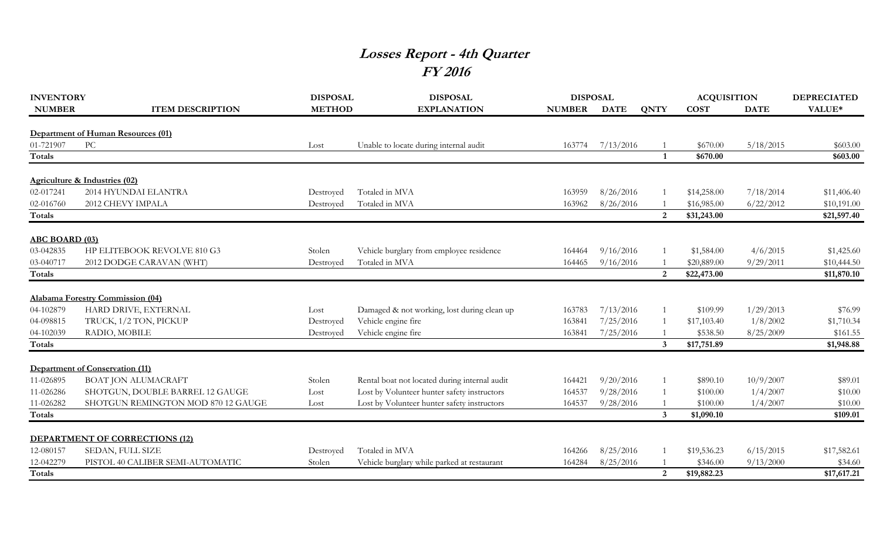## **Losses Report - 4th Quarter FY 2016**

| <b>INVENTORY</b>      |                                          | <b>DISPOSAL</b> | <b>DISPOSAL</b>                               | <b>DISPOSAL</b> |             |                | <b>ACQUISITION</b> |             | <b>DEPRECIATED</b> |
|-----------------------|------------------------------------------|-----------------|-----------------------------------------------|-----------------|-------------|----------------|--------------------|-------------|--------------------|
| <b>NUMBER</b>         | <b>ITEM DESCRIPTION</b>                  | <b>METHOD</b>   | <b>EXPLANATION</b>                            | <b>NUMBER</b>   | <b>DATE</b> | <b>QNTY</b>    | <b>COST</b>        | <b>DATE</b> | VALUE*             |
|                       | Department of Human Resources (01)       |                 |                                               |                 |             |                |                    |             |                    |
| 01-721907             | PC                                       | Lost            | Unable to locate during internal audit        | 163774          | 7/13/2016   |                | \$670.00           | 5/18/2015   | \$603.00           |
| <b>Totals</b>         |                                          |                 |                                               |                 |             |                | \$670.00           |             | \$603.00           |
|                       |                                          |                 |                                               |                 |             |                |                    |             |                    |
|                       | <b>Agriculture &amp; Industries (02)</b> |                 |                                               |                 |             |                |                    |             |                    |
| 02-017241             | 2014 HYUNDAI ELANTRA                     | Destroyed       | Totaled in MVA                                | 163959          | 8/26/2016   |                | \$14,258.00        | 7/18/2014   | \$11,406.40        |
| 02-016760             | 2012 CHEVY IMPALA                        | Destroved       | Totaled in MVA                                | 163962          | 8/26/2016   |                | \$16,985.00        | 6/22/2012   | \$10,191.00        |
| Totals                |                                          |                 |                                               |                 |             | 2              | \$31,243.00        |             | \$21,597.40        |
| <b>ABC BOARD (03)</b> |                                          |                 |                                               |                 |             |                |                    |             |                    |
| 03-042835             | HP ELITEBOOK REVOLVE 810 G3              | Stolen          | Vehicle burglary from employee residence      | 164464          | 9/16/2016   |                | \$1,584.00         | 4/6/2015    | \$1,425.60         |
| 03-040717             | 2012 DODGE CARAVAN (WHT)                 | Destroyed       | Totaled in MVA                                | 164465          | 9/16/2016   |                | \$20,889.00        | 9/29/2011   | \$10,444.50        |
| Totals                |                                          |                 |                                               |                 |             | $\overline{2}$ | \$22,473.00        |             | \$11,870.10        |
|                       |                                          |                 |                                               |                 |             |                |                    |             |                    |
|                       | Alabama Forestry Commission (04)         |                 |                                               |                 |             |                |                    |             |                    |
| 04-102879             | HARD DRIVE, EXTERNAL                     | Lost            | Damaged & not working, lost during clean up   | 163783          | 7/13/2016   |                | \$109.99           | 1/29/2013   | \$76.99            |
| 04-098815             | TRUCK, 1/2 TON, PICKUP                   | Destroyed       | Vehicle engine fire                           | 163841          | 7/25/2016   |                | \$17,103.40        | 1/8/2002    | \$1,710.34         |
| 04-102039             | RADIO, MOBILE                            | Destroyed       | Vehicle engine fire                           | 163841          | 7/25/2016   |                | \$538.50           | 8/25/2009   | \$161.55           |
| <b>Totals</b>         |                                          |                 |                                               |                 |             | $\mathbf{3}$   | \$17,751.89        |             | \$1,948.88         |
|                       | <b>Department of Conservation (11)</b>   |                 |                                               |                 |             |                |                    |             |                    |
| 11-026895             | <b>BOAT JON ALUMACRAFT</b>               | Stolen          | Rental boat not located during internal audit | 164421          | 9/20/2016   |                | \$890.10           | 10/9/2007   | \$89.01            |
| 11-026286             | SHOTGUN, DOUBLE BARREL 12 GAUGE          | Lost            | Lost by Volunteer hunter safety instructors   | 164537          | 9/28/2016   |                | \$100.00           | 1/4/2007    | \$10.00            |
| 11-026282             | SHOTGUN REMINGTON MOD 870 12 GAUGE       | Lost            | Lost by Volunteer hunter safety instructors   | 164537          | 9/28/2016   |                | \$100.00           | 1/4/2007    | \$10.00            |
| <b>Totals</b>         |                                          |                 |                                               |                 |             | $\mathbf{3}$   | \$1,090.10         |             | \$109.01           |
|                       |                                          |                 |                                               |                 |             |                |                    |             |                    |
|                       | DEPARTMENT OF CORRECTIONS (12)           |                 |                                               |                 |             |                |                    |             |                    |
| 12-080157             | SEDAN, FULL SIZE                         | Destroyed       | Totaled in MVA                                | 164266          | 8/25/2016   |                | \$19,536.23        | 6/15/2015   | \$17,582.61        |
| 12-042279             | PISTOL 40 CALIBER SEMI-AUTOMATIC         | Stolen          | Vehicle burglary while parked at restaurant   | 164284          | 8/25/2016   |                | \$346.00           | 9/13/2000   | \$34.60            |
| Totals                |                                          |                 |                                               |                 |             | 2              | \$19,882.23        |             | \$17,617.21        |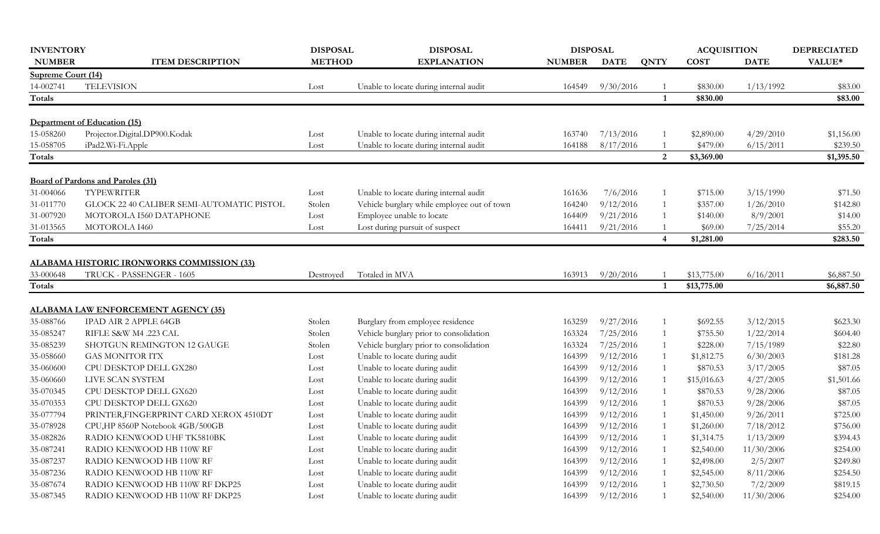| <b>INVENTORY</b>   |                                            | <b>DISPOSAL</b> | <b>DISPOSAL</b>                             | <b>DISPOSAL</b> |             |                         | <b>ACQUISITION</b> |             | <b>DEPRECIATED</b> |
|--------------------|--------------------------------------------|-----------------|---------------------------------------------|-----------------|-------------|-------------------------|--------------------|-------------|--------------------|
| <b>NUMBER</b>      | <b>ITEM DESCRIPTION</b>                    | <b>METHOD</b>   | <b>EXPLANATION</b>                          | <b>NUMBER</b>   | <b>DATE</b> | <b>QNTY</b>             | <b>COST</b>        | <b>DATE</b> | VALUE*             |
| Supreme Court (14) |                                            |                 |                                             |                 |             |                         |                    |             |                    |
| 14-002741          | <b>TELEVISION</b>                          | Lost            | Unable to locate during internal audit      | 164549          | 9/30/2016   |                         | \$830.00           | 1/13/1992   | \$83.00            |
| Totals             |                                            |                 |                                             |                 |             | $\mathbf 1$             | \$830.00           |             | \$83.00            |
|                    |                                            |                 |                                             |                 |             |                         |                    |             |                    |
|                    | Department of Education (15)               |                 |                                             |                 |             |                         |                    |             |                    |
| 15-058260          | Projector.Digital.DP900.Kodak              | Lost            | Unable to locate during internal audit      | 163740          | 7/13/2016   |                         | \$2,890.00         | 4/29/2010   | \$1,156.00         |
| 15-058705          | iPad2.Wi-Fi.Apple                          | Lost            | Unable to locate during internal audit      | 164188          | 8/17/2016   |                         | \$479.00           | 6/15/2011   | \$239.50           |
| Totals             |                                            |                 |                                             |                 |             | 2                       | \$3,369.00         |             | \$1,395.50         |
|                    | <b>Board of Pardons and Paroles (31)</b>   |                 |                                             |                 |             |                         |                    |             |                    |
| 31-004066          | <b>TYPEWRITER</b>                          | Lost            | Unable to locate during internal audit      | 161636          | 7/6/2016    |                         | \$715.00           | 3/15/1990   | \$71.50            |
| 31-011770          | GLOCK 22 40 CALIBER SEMI-AUTOMATIC PISTOL  | Stolen          | Vehicle burglary while employee out of town | 164240          | 9/12/2016   | 1                       | \$357.00           | 1/26/2010   | \$142.80           |
| 31-007920          | MOTOROLA I560 DATAPHONE                    | Lost            | Employee unable to locate                   | 164409          | 9/21/2016   |                         | \$140.00           | 8/9/2001    | \$14.00            |
| 31-013565          | MOTOROLA I460                              | Lost            | Lost during pursuit of suspect              | 164411          | 9/21/2016   |                         | \$69.00            | 7/25/2014   | \$55.20            |
| Totals             |                                            |                 |                                             |                 |             | $\overline{\mathbf{4}}$ | \$1,281.00         |             | \$283.50           |
|                    |                                            |                 |                                             |                 |             |                         |                    |             |                    |
|                    | ALABAMA HISTORIC IRONWORKS COMMISSION (33) |                 |                                             |                 |             |                         |                    |             |                    |
| 33-000648          | TRUCK - PASSENGER - 1605                   | Destroyed       | Totaled in MVA                              | 163913          | 9/20/2016   |                         | \$13,775.00        | 6/16/2011   | \$6,887.50         |
| Totals             |                                            |                 |                                             |                 |             | $\overline{\mathbf{1}}$ | \$13,775.00        |             | \$6,887.50         |
|                    | <b>ALABAMA LAW ENFORCEMENT AGENCY (35)</b> |                 |                                             |                 |             |                         |                    |             |                    |
| 35-088766          | <b>IPAD AIR 2 APPLE 64GB</b>               | Stolen          | Burglary from employee residence            | 163259          | 9/27/2016   |                         | \$692.55           | 3/12/2015   | \$623.30           |
| 35-085247          | RIFLE S&W M4 .223 CAL                      | Stolen          | Vehicle burglary prior to consolidation     | 163324          | 7/25/2016   |                         | \$755.50           | 1/22/2014   | \$604.40           |
| 35-085239          | SHOTGUN REMINGTON 12 GAUGE                 | Stolen          | Vehicle burglary prior to consolidation     | 163324          | 7/25/2016   |                         | \$228.00           | 7/15/1989   | \$22.80            |
| 35-058660          | <b>GAS MONITOR ITX</b>                     | Lost            | Unable to locate during audit               | 164399          | 9/12/2016   | 1                       | \$1,812.75         | 6/30/2003   | \$181.28           |
| 35-060600          | CPU DESKTOP DELL GX280                     | Lost            | Unable to locate during audit               | 164399          | 9/12/2016   |                         | \$870.53           | 3/17/2005   | \$87.05            |
| 35-060660          | LIVE SCAN SYSTEM                           | Lost            | Unable to locate during audit               | 164399          | 9/12/2016   |                         | \$15,016.63        | 4/27/2005   | \$1,501.66         |
| 35-070345          | CPU DESKTOP DELL GX620                     | Lost            | Unable to locate during audit               | 164399          | 9/12/2016   |                         | \$870.53           | 9/28/2006   | \$87.05            |
| 35-070353          | CPU DESKTOP DELL GX620                     | Lost            | Unable to locate during audit               | 164399          | 9/12/2016   | -1                      | \$870.53           | 9/28/2006   | \$87.05            |
| 35-077794          | PRINTER,FINGERPRINT CARD XEROX 4510DT      | Lost            | Unable to locate during audit               | 164399          | 9/12/2016   |                         | \$1,450.00         | 9/26/2011   | \$725.00           |
| 35-078928          | CPU,HP 8560P Notebook 4GB/500GB            | Lost            | Unable to locate during audit               | 164399          | 9/12/2016   |                         | \$1,260.00         | 7/18/2012   | \$756.00           |
| 35-082826          | RADIO KENWOOD UHF TK5810BK                 | Lost            | Unable to locate during audit               | 164399          | 9/12/2016   |                         | \$1,314.75         | 1/13/2009   | \$394.43           |
| 35-087241          | RADIO KENWOOD HB 110W RF                   | Lost            | Unable to locate during audit               | 164399          | 9/12/2016   | 1                       | \$2,540.00         | 11/30/2006  | \$254.00           |
| 35-087237          | RADIO KENWOOD HB 110W RF                   | Lost            | Unable to locate during audit               | 164399          | 9/12/2016   | -1                      | \$2,498.00         | 2/5/2007    | \$249.80           |
| 35-087236          | RADIO KENWOOD HB 110W RF                   | Lost            | Unable to locate during audit               | 164399          | 9/12/2016   | -1                      | \$2,545.00         | 8/11/2006   | \$254.50           |
| 35-087674          | RADIO KENWOOD HB 110W RF DKP25             | Lost            | Unable to locate during audit               | 164399          | 9/12/2016   |                         | \$2,730.50         | 7/2/2009    | \$819.15           |
| 35-087345          | RADIO KENWOOD HB 110W RF DKP25             | Lost            | Unable to locate during audit               | 164399          | 9/12/2016   |                         | \$2,540.00         | 11/30/2006  | \$254.00           |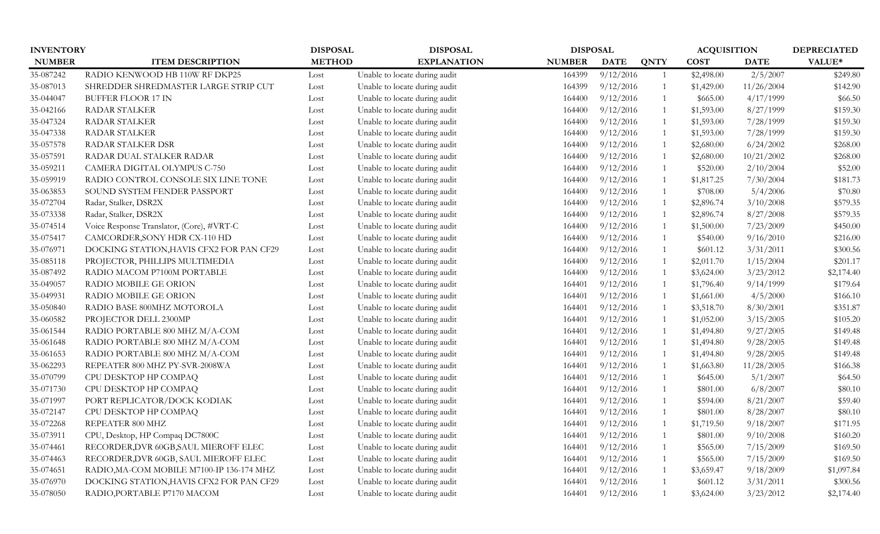| <b>INVENTORY</b> |                                           | <b>DISPOSAL</b><br><b>DISPOSAL</b> |                               | <b>DISPOSAL</b> |             | <b>ACQUISITION</b> | <b>DEPRECIATED</b> |             |            |
|------------------|-------------------------------------------|------------------------------------|-------------------------------|-----------------|-------------|--------------------|--------------------|-------------|------------|
| <b>NUMBER</b>    | <b>ITEM DESCRIPTION</b>                   | <b>METHOD</b>                      | <b>EXPLANATION</b>            | <b>NUMBER</b>   | <b>DATE</b> | <b>QNTY</b>        | <b>COST</b>        | <b>DATE</b> | VALUE*     |
| 35-087242        | RADIO KENWOOD HB 110W RF DKP25            | Lost                               | Unable to locate during audit | 164399          | 9/12/2016   |                    | \$2,498.00         | 2/5/2007    | \$249.80   |
| 35-087013        | SHREDDER SHREDMASTER LARGE STRIP CUT      | Lost                               | Unable to locate during audit | 164399          | 9/12/2016   |                    | \$1,429.00         | 11/26/2004  | \$142.90   |
| 35-044047        | <b>BUFFER FLOOR 17 IN</b>                 | Lost                               | Unable to locate during audit | 164400          | 9/12/2016   |                    | \$665.00           | 4/17/1999   | \$66.50    |
| 35-042166        | <b>RADAR STALKER</b>                      | Lost                               | Unable to locate during audit | 164400          | 9/12/2016   |                    | \$1,593.00         | 8/27/1999   | \$159.30   |
| 35-047324        | RADAR STALKER                             | Lost                               | Unable to locate during audit | 164400          | 9/12/2016   | $\mathbf{1}$       | \$1,593.00         | 7/28/1999   | \$159.30   |
| 35-047338        | <b>RADAR STALKER</b>                      | Lost                               | Unable to locate during audit | 164400          | 9/12/2016   | $\mathbf{1}$       | \$1,593.00         | 7/28/1999   | \$159.30   |
| 35-057578        | RADAR STALKER DSR                         | Lost                               | Unable to locate during audit | 164400          | 9/12/2016   |                    | \$2,680.00         | 6/24/2002   | \$268.00   |
| 35-057591        | RADAR DUAL STALKER RADAR                  | Lost                               | Unable to locate during audit | 164400          | 9/12/2016   |                    | \$2,680.00         | 10/21/2002  | \$268.00   |
| 35-059211        | CAMERA DIGITAL OLYMPUS C-750              | Lost                               | Unable to locate during audit | 164400          | 9/12/2016   |                    | \$520.00           | 2/10/2004   | \$52.00    |
| 35-059919        | RADIO CONTROL CONSOLE SIX LINE TONE       | Lost                               | Unable to locate during audit | 164400          | 9/12/2016   |                    | \$1,817.25         | 7/30/2004   | \$181.73   |
| 35-063853        | SOUND SYSTEM FENDER PASSPORT              | Lost                               | Unable to locate during audit | 164400          | 9/12/2016   |                    | \$708.00           | 5/4/2006    | \$70.80    |
| 35-072704        | Radar, Stalker, DSR2X                     | Lost                               | Unable to locate during audit | 164400          | 9/12/2016   |                    | \$2,896.74         | 3/10/2008   | \$579.35   |
| 35-073338        | Radar, Stalker, DSR2X                     | Lost                               | Unable to locate during audit | 164400          | 9/12/2016   |                    | \$2,896.74         | 8/27/2008   | \$579.35   |
| 35-074514        | Voice Response Translator, (Core), #VRT-C | Lost                               | Unable to locate during audit | 164400          | 9/12/2016   |                    | \$1,500.00         | 7/23/2009   | \$450.00   |
| 35-075417        | CAMCORDER, SONY HDR CX-110 HD             | Lost                               | Unable to locate during audit | 164400          | 9/12/2016   | $\mathbf{1}$       | \$540.00           | 9/16/2010   | \$216.00   |
| 35-076971        | DOCKING STATION, HAVIS CFX2 FOR PAN CF29  | Lost                               | Unable to locate during audit | 164400          | 9/12/2016   |                    | \$601.12           | 3/31/2011   | \$300.56   |
| 35-085118        | PROJECTOR, PHILLIPS MULTIMEDIA            | Lost                               | Unable to locate during audit | 164400          | 9/12/2016   | $\mathbf{1}$       | \$2,011.70         | 1/15/2004   | \$201.17   |
| 35-087492        | RADIO MACOM P7100M PORTABLE               | Lost                               | Unable to locate during audit | 164400          | 9/12/2016   | $\mathbf{1}$       | \$3,624.00         | 3/23/2012   | \$2,174.40 |
| 35-049057        | RADIO MOBILE GE ORION                     | Lost                               | Unable to locate during audit | 164401          | 9/12/2016   |                    | \$1,796.40         | 9/14/1999   | \$179.64   |
| 35-049931        | RADIO MOBILE GE ORION                     | Lost                               | Unable to locate during audit | 164401          | 9/12/2016   |                    | \$1,661.00         | 4/5/2000    | \$166.10   |
| 35-050840        | RADIO BASE 800MHZ MOTOROLA                | Lost                               | Unable to locate during audit | 164401          | 9/12/2016   |                    | \$3,518.70         | 8/30/2001   | \$351.87   |
| 35-060582        | PROJECTOR DELL 2300MP                     | Lost                               | Unable to locate during audit | 164401          | 9/12/2016   |                    | \$1,052.00         | 3/15/2005   | \$105.20   |
| 35-061544        | RADIO PORTABLE 800 MHZ M/A-COM            | Lost                               | Unable to locate during audit | 164401          | 9/12/2016   |                    | \$1,494.80         | 9/27/2005   | \$149.48   |
| 35-061648        | RADIO PORTABLE 800 MHZ M/A-COM            | Lost                               | Unable to locate during audit | 164401          | 9/12/2016   |                    | \$1,494.80         | 9/28/2005   | \$149.48   |
| 35-061653        | RADIO PORTABLE 800 MHZ M/A-COM            | Lost                               | Unable to locate during audit | 164401          | 9/12/2016   |                    | \$1,494.80         | 9/28/2005   | \$149.48   |
| 35-062293        | REPEATER 800 MHZ PY-SVR-2008WA            | Lost                               | Unable to locate during audit | 164401          | 9/12/2016   |                    | \$1,663.80         | 11/28/2005  | \$166.38   |
| 35-070799        | CPU DESKTOP HP COMPAQ                     | Lost                               | Unable to locate during audit | 164401          | 9/12/2016   |                    | \$645.00           | 5/1/2007    | \$64.50    |
| 35-071730        | CPU DESKTOP HP COMPAQ                     | Lost                               | Unable to locate during audit | 164401          | 9/12/2016   |                    | \$801.00           | 6/8/2007    | \$80.10    |
| 35-071997        | PORT REPLICATOR/DOCK KODIAK               | Lost                               | Unable to locate during audit | 164401          | 9/12/2016   |                    | \$594.00           | 8/21/2007   | \$59.40    |
| 35-072147        | CPU DESKTOP HP COMPAQ                     | Lost                               | Unable to locate during audit | 164401          | 9/12/2016   |                    | \$801.00           | 8/28/2007   | \$80.10    |
| 35-072268        | REPEATER 800 MHZ                          | Lost                               | Unable to locate during audit | 164401          | 9/12/2016   |                    | \$1,719.50         | 9/18/2007   | \$171.95   |
| 35-073911        | CPU, Desktop, HP Compaq DC7800C           | Lost                               | Unable to locate during audit | 164401          | 9/12/2016   |                    | \$801.00           | 9/10/2008   | \$160.20   |
| 35-074461        | RECORDER, DVR 60GB, SAUL MIEROFF ELEC     | Lost                               | Unable to locate during audit | 164401          | 9/12/2016   |                    | \$565.00           | 7/15/2009   | \$169.50   |
| 35-074463        | RECORDER, DVR 60GB, SAUL MIEROFF ELEC     | Lost                               | Unable to locate during audit | 164401          | 9/12/2016   |                    | \$565.00           | 7/15/2009   | \$169.50   |
| 35-074651        | RADIO, MA-COM MOBILE M7100-IP 136-174 MHZ | Lost                               | Unable to locate during audit | 164401          | 9/12/2016   |                    | \$3,659.47         | 9/18/2009   | \$1,097.84 |
| 35-076970        | DOCKING STATION, HAVIS CFX2 FOR PAN CF29  | Lost                               | Unable to locate during audit | 164401          | 9/12/2016   |                    | \$601.12           | 3/31/2011   | \$300.56   |
| 35-078050        | RADIO, PORTABLE P7170 MACOM               | Lost                               | Unable to locate during audit | 164401          | 9/12/2016   | $\mathbf{1}$       | \$3,624.00         | 3/23/2012   | \$2,174.40 |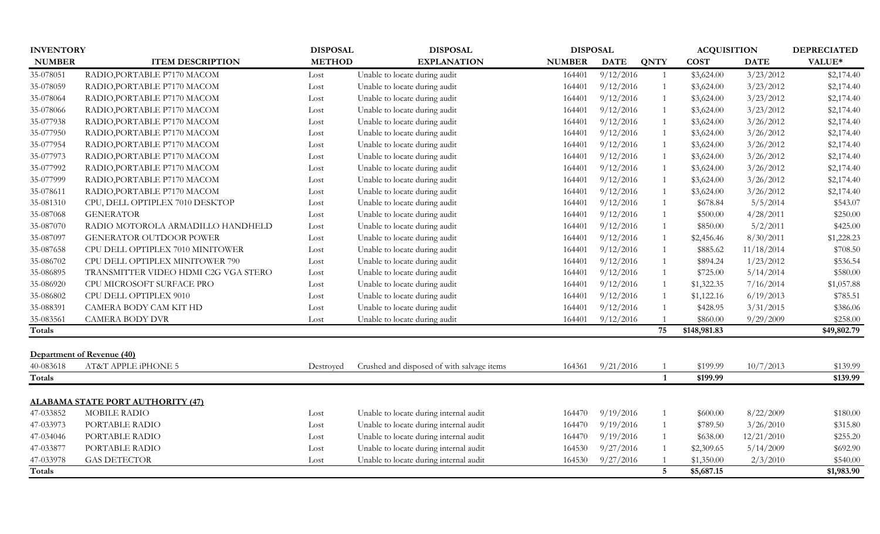| <b>INVENTORY</b> |                                                   | <b>DISPOSAL</b> | <b>DISPOSAL</b>                            | <b>DISPOSAL</b> |             |                 | <b>ACQUISITION</b> | <b>DEPRECIATED</b> |             |
|------------------|---------------------------------------------------|-----------------|--------------------------------------------|-----------------|-------------|-----------------|--------------------|--------------------|-------------|
| <b>NUMBER</b>    | <b>ITEM DESCRIPTION</b>                           | <b>METHOD</b>   | <b>EXPLANATION</b>                         | <b>NUMBER</b>   | <b>DATE</b> | <b>QNTY</b>     | <b>COST</b>        | <b>DATE</b>        | VALUE*      |
| 35-078051        | RADIO, PORTABLE P7170 MACOM                       | Lost            | Unable to locate during audit              | 164401          | 9/12/2016   | 1               | \$3,624.00         | 3/23/2012          | \$2,174.40  |
| 35-078059        | RADIO, PORTABLE P7170 MACOM                       | Lost            | Unable to locate during audit              | 164401          | 9/12/2016   |                 | \$3,624.00         | 3/23/2012          | \$2,174.40  |
| 35-078064        | RADIO, PORTABLE P7170 MACOM                       | Lost            | Unable to locate during audit              | 164401          | 9/12/2016   |                 | \$3,624.00         | 3/23/2012          | \$2,174.40  |
| 35-078066        | RADIO, PORTABLE P7170 MACOM                       | Lost            | Unable to locate during audit              | 164401          | 9/12/2016   |                 | \$3,624.00         | 3/23/2012          | \$2,174.40  |
| 35-077938        | RADIO, PORTABLE P7170 MACOM                       | Lost            | Unable to locate during audit              | 164401          | 9/12/2016   |                 | \$3,624.00         | 3/26/2012          | \$2,174.40  |
| 35-077950        | RADIO, PORTABLE P7170 MACOM                       | Lost            | Unable to locate during audit              | 164401          | 9/12/2016   |                 | \$3,624.00         | 3/26/2012          | \$2,174.40  |
| 35-077954        | RADIO, PORTABLE P7170 MACOM                       | Lost            | Unable to locate during audit              | 164401          | 9/12/2016   |                 | \$3,624.00         | 3/26/2012          | \$2,174.40  |
| 35-077973        | RADIO, PORTABLE P7170 MACOM                       | Lost            | Unable to locate during audit              | 164401          | 9/12/2016   |                 | \$3,624.00         | 3/26/2012          | \$2,174.40  |
| 35-077992        | RADIO, PORTABLE P7170 MACOM                       | Lost            | Unable to locate during audit              | 164401          | 9/12/2016   |                 | \$3,624.00         | 3/26/2012          | \$2,174.40  |
| 35-077999        | RADIO, PORTABLE P7170 MACOM                       | Lost            | Unable to locate during audit              | 164401          | 9/12/2016   |                 | \$3,624.00         | 3/26/2012          | \$2,174.40  |
| 35-078611        | RADIO, PORTABLE P7170 MACOM                       | Lost            | Unable to locate during audit              | 164401          | 9/12/2016   |                 | \$3,624.00         | 3/26/2012          | \$2,174.40  |
| 35-081310        | CPU, DELL OPTIPLEX 7010 DESKTOP                   | Lost            | Unable to locate during audit              | 164401          | 9/12/2016   |                 | \$678.84           | 5/5/2014           | \$543.07    |
| 35-087068        | <b>GENERATOR</b>                                  | Lost            | Unable to locate during audit              | 164401          | 9/12/2016   |                 | \$500.00           | 4/28/2011          | \$250.00    |
| 35-087070        | RADIO MOTOROLA ARMADILLO HANDHELD                 | Lost            | Unable to locate during audit              | 164401          | 9/12/2016   |                 | \$850.00           | 5/2/2011           | \$425.00    |
| 35-087097        | <b>GENERATOR OUTDOOR POWER</b>                    | Lost            | Unable to locate during audit              | 164401          | 9/12/2016   |                 | \$2,456.46         | 8/30/2011          | \$1,228.23  |
| 35-087658        | CPU DELL OPTIPLEX 7010 MINITOWER                  | Lost            | Unable to locate during audit              | 164401          | 9/12/2016   |                 | \$885.62           | 11/18/2014         | \$708.50    |
| 35-086702        | CPU DELL OPTIPLEX MINITOWER 790                   | Lost            | Unable to locate during audit              | 164401          | 9/12/2016   |                 | \$894.24           | 1/23/2012          | \$536.54    |
| 35-086895        | TRANSMITTER VIDEO HDMI C2G VGA STERO              | Lost            | Unable to locate during audit              | 164401          | 9/12/2016   |                 | \$725.00           | 5/14/2014          | \$580.00    |
| 35-086920        | CPU MICROSOFT SURFACE PRO                         | Lost            | Unable to locate during audit              | 164401          | 9/12/2016   |                 | \$1,322.35         | 7/16/2014          | \$1,057.88  |
| 35-086802        | CPU DELL OPTIPLEX 9010                            | Lost            | Unable to locate during audit              | 164401          | 9/12/2016   |                 | \$1,122.16         | 6/19/2013          | \$785.51    |
| 35-088391        | CAMERA BODY CAM KIT HD                            | Lost            | Unable to locate during audit              | 164401          | 9/12/2016   |                 | \$428.95           | 3/31/2015          | \$386.06    |
| 35-083561        | <b>CAMERA BODY DVR</b>                            | Lost            | Unable to locate during audit              | 164401          | 9/12/2016   |                 | \$860.00           | 9/29/2009          | \$258.00    |
| <b>Totals</b>    |                                                   |                 |                                            |                 |             | 75              | \$148,981.83       |                    | \$49,802.79 |
|                  |                                                   |                 |                                            |                 |             |                 |                    |                    |             |
| 40-083618        | Department of Revenue (40)<br>AT&T APPLE iPHONE 5 | Destroyed       | Crushed and disposed of with salvage items | 164361          | 9/21/2016   |                 | \$199.99           | 10/7/2013          | \$139.99    |
| <b>Totals</b>    |                                                   |                 |                                            |                 |             | 1               | \$199.99           |                    | \$139.99    |
|                  |                                                   |                 |                                            |                 |             |                 |                    |                    |             |
|                  | <b>ALABAMA STATE PORT AUTHORITY (47)</b>          |                 |                                            |                 |             |                 |                    |                    |             |
| 47-033852        | MOBILE RADIO                                      | Lost            | Unable to locate during internal audit     | 164470          | 9/19/2016   |                 | \$600.00           | 8/22/2009          | \$180.00    |
| 47-033973        | PORTABLE RADIO                                    | Lost            | Unable to locate during internal audit     | 164470          | 9/19/2016   |                 | \$789.50           | 3/26/2010          | \$315.80    |
| 47-034046        | PORTABLE RADIO                                    | Lost            | Unable to locate during internal audit     | 164470          | 9/19/2016   |                 | \$638.00           | 12/21/2010         | \$255.20    |
| 47-033877        | PORTABLE RADIO                                    | Lost            | Unable to locate during internal audit     | 164530          | 9/27/2016   |                 | \$2,309.65         | 5/14/2009          | \$692.90    |
| 47-033978        | <b>GAS DETECTOR</b>                               | Lost            | Unable to locate during internal audit     | 164530          | 9/27/2016   |                 | \$1,350.00         | 2/3/2010           | \$540.00    |
| <b>Totals</b>    |                                                   |                 |                                            |                 |             | $5\overline{)}$ | \$5,687.15         |                    | \$1,983.90  |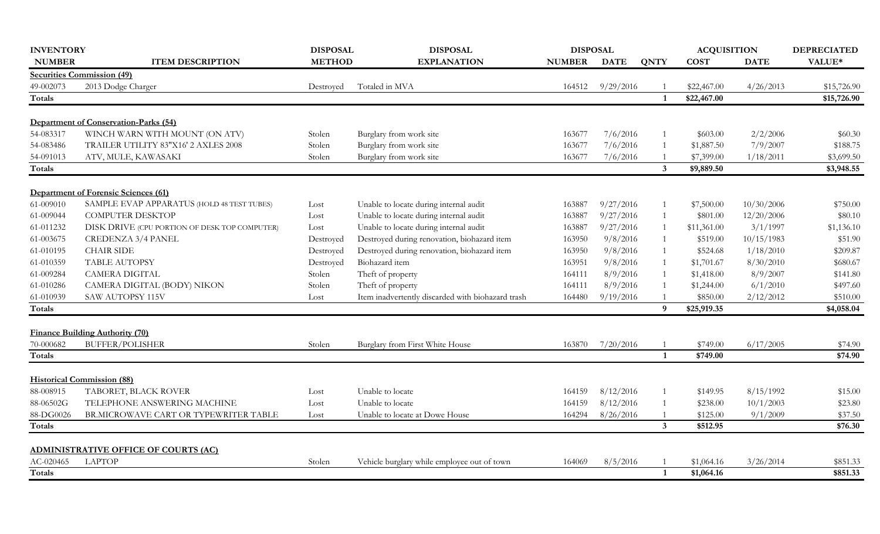| <b>INVENTORY</b> |                                               | <b>DISPOSAL</b> | <b>DISPOSAL</b>                                   | <b>DISPOSAL</b> |                  |                | <b>ACQUISITION</b> |             | <b>DEPRECIATED</b> |
|------------------|-----------------------------------------------|-----------------|---------------------------------------------------|-----------------|------------------|----------------|--------------------|-------------|--------------------|
| <b>NUMBER</b>    | <b>ITEM DESCRIPTION</b>                       | <b>METHOD</b>   | <b>EXPLANATION</b>                                | <b>NUMBER</b>   | <b>DATE</b>      | <b>QNTY</b>    | <b>COST</b>        | <b>DATE</b> | VALUE*             |
|                  | <b>Securities Commission (49)</b>             |                 |                                                   |                 |                  |                |                    |             |                    |
| 49-002073        | 2013 Dodge Charger                            | Destroyed       | Totaled in MVA                                    |                 | 164512 9/29/2016 |                | \$22,467.00        | 4/26/2013   | \$15,726.90        |
| <b>Totals</b>    |                                               |                 |                                                   |                 |                  | 1              | \$22,467.00        |             | \$15,726.90        |
|                  | Department of Conservation-Parks (54)         |                 |                                                   |                 |                  |                |                    |             |                    |
| 54-083317        | WINCH WARN WITH MOUNT (ON ATV)                | Stolen          | Burglary from work site                           | 163677          | 7/6/2016         |                | \$603.00           | 2/2/2006    | \$60.30            |
| 54-083486        | TRAILER UTILITY 83"X16' 2 AXLES 2008          | Stolen          | Burglary from work site                           | 163677          | 7/6/2016         |                | \$1,887.50         | 7/9/2007    | \$188.75           |
| 54-091013        | ATV, MULE, KAWASAKI                           | Stolen          | Burglary from work site                           | 163677          | 7/6/2016         |                | \$7,399.00         | 1/18/2011   | \$3,699.50         |
| Totals           |                                               |                 |                                                   |                 |                  | $\mathbf{3}$   | \$9,889.50         |             | \$3,948.55         |
|                  |                                               |                 |                                                   |                 |                  |                |                    |             |                    |
|                  | <b>Department of Forensic Sciences (61)</b>   |                 |                                                   |                 |                  |                |                    |             |                    |
| 61-009010        | SAMPLE EVAP APPARATUS (HOLD 48 TEST TUBES)    | Lost            | Unable to locate during internal audit            | 163887          | 9/27/2016        |                | \$7,500.00         | 10/30/2006  | \$750.00           |
| 61-009044        | <b>COMPUTER DESKTOP</b>                       | Lost            | Unable to locate during internal audit            | 163887          | 9/27/2016        | $\overline{1}$ | \$801.00           | 12/20/2006  | \$80.10            |
| 61-011232        | DISK DRIVE (CPU PORTION OF DESK TOP COMPUTER) | Lost            | Unable to locate during internal audit            | 163887          | 9/27/2016        |                | \$11,361.00        | 3/1/1997    | \$1,136.10         |
| 61-003675        | <b>CREDENZA 3/4 PANEL</b>                     | Destroyed       | Destroyed during renovation, biohazard item       | 163950          | 9/8/2016         |                | \$519.00           | 10/15/1983  | \$51.90            |
| 61-010195        | <b>CHAIR SIDE</b>                             | Destroyed       | Destroyed during renovation, biohazard item       | 163950          | 9/8/2016         |                | \$524.68           | 1/18/2010   | \$209.87           |
| 61-010359        | TABLE AUTOPSY                                 | Destroyed       | Biohazard item                                    | 163951          | 9/8/2016         |                | \$1,701.67         | 8/30/2010   | \$680.67           |
| 61-009284        | <b>CAMERA DIGITAL</b>                         | Stolen          | Theft of property                                 | 164111          | 8/9/2016         |                | \$1,418.00         | 8/9/2007    | \$141.80           |
| 61-010286        | CAMERA DIGITAL (BODY) NIKON                   | Stolen          | Theft of property                                 | 164111          | 8/9/2016         |                | \$1,244.00         | 6/1/2010    | \$497.60           |
| 61-010939        | SAW AUTOPSY 115V                              | Lost            | Item inadvertently discarded with biohazard trash | 164480          | 9/19/2016        |                | \$850.00           | 2/12/2012   | \$510.00           |
| <b>Totals</b>    |                                               |                 |                                                   |                 |                  | 9              | \$25,919.35        |             | \$4,058.04         |
|                  | <b>Finance Building Authority (70)</b>        |                 |                                                   |                 |                  |                |                    |             |                    |
| 70-000682        | <b>BUFFER/POLISHER</b>                        | Stolen          | Burglary from First White House                   | 163870          | 7/20/2016        |                | \$749.00           | 6/17/2005   | \$74.90            |
| <b>Totals</b>    |                                               |                 |                                                   |                 |                  | $\mathbf{1}$   | \$749.00           |             | \$74.90            |
|                  |                                               |                 |                                                   |                 |                  |                |                    |             |                    |
|                  | <b>Historical Commission (88)</b>             |                 |                                                   |                 |                  |                |                    |             |                    |
| 88-008915        | TABORET, BLACK ROVER                          | Lost            | Unable to locate                                  | 164159          | 8/12/2016        |                | \$149.95           | 8/15/1992   | \$15.00            |
| 88-06502G        | TELEPHONE ANSWERING MACHINE                   | Lost            | Unable to locate                                  | 164159          | 8/12/2016        |                | \$238.00           | 10/1/2003   | \$23.80            |
| 88-DG0026        | BR.MICROWAVE CART OR TYPEWRITER TABLE         | Lost            | Unable to locate at Dowe House                    | 164294          | 8/26/2016        |                | \$125.00           | 9/1/2009    | \$37.50            |
| <b>Totals</b>    |                                               |                 |                                                   |                 |                  | $\mathbf{3}$   | \$512.95           |             | \$76.30            |
|                  | <b>ADMINISTRATIVE OFFICE OF COURTS (AC)</b>   |                 |                                                   |                 |                  |                |                    |             |                    |
| AC-020465        | <b>LAPTOP</b>                                 | Stolen          | Vehicle burglary while employee out of town       | 164069          | 8/5/2016         |                | \$1,064.16         | 3/26/2014   | \$851.33           |
| Totals           |                                               |                 |                                                   |                 |                  | 1              | \$1,064.16         |             | \$851.33           |